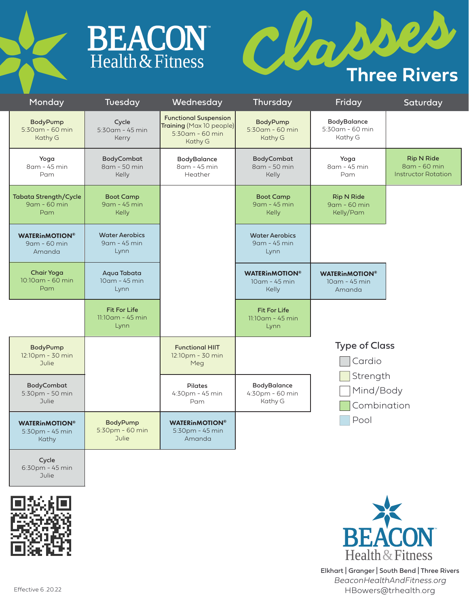



| Monday                                              | Tuesday                                            | Wednesday                                                                              | Thursday                                               | Friday                                           | Saturday                                                        |  |
|-----------------------------------------------------|----------------------------------------------------|----------------------------------------------------------------------------------------|--------------------------------------------------------|--------------------------------------------------|-----------------------------------------------------------------|--|
| BodyPump<br>5:30am - 60 min<br>Kathy G              | Cycle<br>5:30am - 45 min<br>Kerry                  | <b>Functional Suspension</b><br>Training (Max 10 people)<br>5:30am - 60 min<br>Kathy G | BodyPump<br>5:30am - 60 min<br>Kathy G                 | BodyBalance<br>5:30am - 60 min<br>Kathy G        |                                                                 |  |
| Yoga<br>8 am - 45 min<br>Pam                        | <b>BodyCombat</b><br>8am - 50 min<br>Kelly         | BodyBalance<br>8am - 45 min<br>Heather                                                 | BodyCombat<br>8am - 50 min<br>Kelly                    | Yoga<br>8am - 45 min<br>Pam                      | <b>Rip N Ride</b><br>8am - 60 min<br><b>Instructor Rotation</b> |  |
| <b>Tabata Strength/Cycle</b><br>9am - 60 min<br>Pam | <b>Boot Camp</b><br>9 am - 45 min<br><b>Kelly</b>  |                                                                                        | <b>Boot Camp</b><br>9am - 45 min<br>Kelly              | <b>Rip N Ride</b><br>9am - 60 min<br>Kelly/Pam   |                                                                 |  |
| <b>WATERINMOTION®</b><br>9am - 60 min<br>Amanda     | <b>Water Aerobics</b><br>9 am - 45 min<br>Lynn     |                                                                                        | <b>Water Aerobics</b><br>9 am - 45 min<br>Lynn         |                                                  |                                                                 |  |
| <b>Chair Yoga</b><br>10:10am - 60 min<br>Pam        | Aqua Tabata<br>10am - 45 min<br>Lynn               |                                                                                        | <b>WATERINMOTION®</b><br>10am - 45 min<br><b>Kelly</b> | <b>WATERINMOTION®</b><br>10am - 45 min<br>Amanda |                                                                 |  |
|                                                     | <b>Fit For Life</b><br>$11:10$ am - 45 min<br>Lynn |                                                                                        | <b>Fit For Life</b><br>$11:10$ am - 45 min<br>Lynn     |                                                  |                                                                 |  |
| BodyPump                                            |                                                    | <b>Functional HIIT</b>                                                                 | <b>Type of Class</b>                                   |                                                  |                                                                 |  |
| 12:10pm - 30 min<br>Julie                           |                                                    | 12:10pm - 30 min<br>Meg                                                                |                                                        | Cardio                                           |                                                                 |  |
| BodyCombat<br>5:30pm - 50 min<br>Julie              |                                                    | <b>Pilates</b><br>4:30pm - 45 min<br>Pam                                               | <b>BodyBalance</b><br>4:30pm - 60 min<br>Kathy G       | Strength                                         |                                                                 |  |
|                                                     |                                                    |                                                                                        |                                                        | Mind/Body<br>Combination                         |                                                                 |  |
| <b>WATERINMOTION®</b><br>5:30pm - 45 min<br>Kathy   | BodyPump<br>5:30pm - 60 min<br><b>Julie</b>        | <b>WATERINMOTION®</b><br>$5:30$ pm - 45 min<br>Amanda                                  |                                                        | Pool                                             |                                                                 |  |

Cycle 6:30pm - 45 min Julie





Elkhart | Granger | South Bend | Three Rivers *BeaconHealthAndFitness.org* Effective 6 .20.22 **HBowers@trhealth.org**